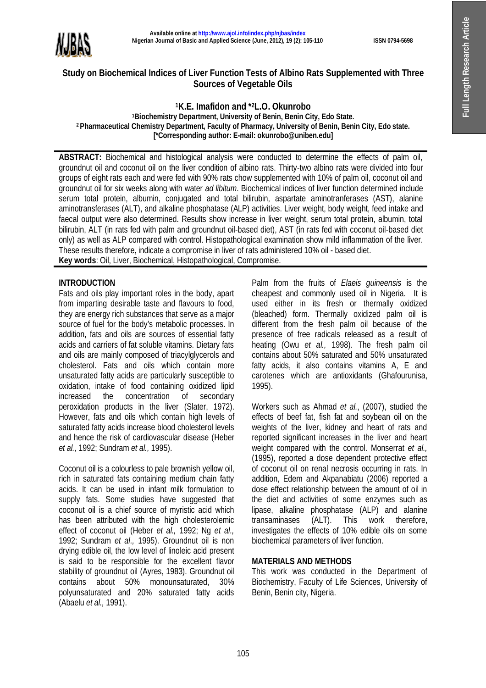

# **Study on Biochemical Indices of Liver Function Tests of Albino Rats Supplemented with Three Sources of Vegetable Oils**

**K.E. Imafidon and \* <sup>2</sup>L.O. Okunrobo Biochemistry Department, University of Benin, Benin City, Edo State. Pharmaceutical Chemistry Department, Faculty of Pharmacy, University of Benin, Benin City, Edo state. [\*Corresponding author: E-mail: okunrobo@uniben.edu]**

**ABSTRACT:** Biochemical and histological analysis were conducted to determine the effects of palm oil, groundnut oil and coconut oil on the liver condition of albino rats. Thirty-two albino rats were divided into four groups of eight rats each and were fed with 90% rats chow supplemented with 10% of palm oil, coconut oil and groundnut oil for six weeks along with water *ad libitum*. Biochemical indices of liver function determined include serum total protein, albumin, conjugated and total bilirubin, aspartate aminotranferases (AST), alanine aminotransferases (ALT), and alkaline phosphatase (ALP) activities. Liver weight, body weight, feed intake and faecal output were also determined. Results show increase in liver weight, serum total protein, albumin, total bilirubin, ALT (in rats fed with palm and groundnut oil-based diet), AST (in rats fed with coconut oil-based diet only) as well as ALP compared with control. Histopathological examination show mild inflammation of the liver. These results therefore, indicate a compromise in liver of rats administered 10% oil - based diet. **Key words**: Oil, Liver, Biochemical, Histopathological, Compromise.

## **INTRODUCTION**

Fats and oils play important roles in the body, apart from imparting desirable taste and flavours to food, they are energy rich substances that serve as a major source of fuel for the body's metabolic processes. In addition, fats and oils are sources of essential fatty acids and carriers of fat soluble vitamins. Dietary fats and oils are mainly composed of triacylglycerols and cholesterol. Fats and oils which contain more unsaturated fatty acids are particularly susceptible to oxidation, intake of food containing oxidized lipid increased the concentration of secondary peroxidation products in the liver (Slater, 1972). However, fats and oils which contain high levels of saturated fatty acids increase blood cholesterol levels and hence the risk of cardiovascular disease (Heber *et al.,* 1992; Sundram *et al.,* 1995).

Coconut oil is a colourless to pale brownish yellow oil, rich in saturated fats containing medium chain fatty acids. It can be used in infant milk formulation to supply fats. Some studies have suggested that coconut oil is a chief source of myristic acid which has been attributed with the high cholesterolemic effect of coconut oil (Heber *et al.,* 1992; Ng *et al.,* 1992; Sundram *et al.,* 1995). Groundnut oil is non drying edible oil, the low level of linoleic acid present is said to be responsible for the excellent flavor stability of groundnut oil (Ayres, 1983). Groundnut oil contains about 50% monounsaturated, 30% polyunsaturated and 20% saturated fatty acids (Abaelu *et al.,* 1991).

Palm from the fruits of *Elaeis guineensis* is the cheapest and commonly used oil in Nigeria. It is used either in its fresh or thermally oxidized (bleached) form. Thermally oxidized palm oil is different from the fresh palm oil because of the presence of free radicals released as a result of heating (Owu *et al.,* 1998). The fresh palm oil contains about 50% saturated and 50% unsaturated fatty acids, it also contains vitamins A, E and carotenes which are antioxidants (Ghafourunisa, 1995).

Workers such as Ahmad *et al.*, (2007), studied the effects of beef fat, fish fat and soybean oil on the weights of the liver, kidney and heart of rats and reported significant increases in the liver and heart weight compared with the control. Monserrat *et al.,* (1995), reported a dose dependent protective effect of coconut oil on renal necrosis occurring in rats. In addition, Edem and Akpanabiatu (2006) reported a dose effect relationship between the amount of oil in the diet and activities of some enzymes such as lipase, alkaline phosphatase (ALP) and alanine transaminases (ALT). This work therefore, investigates the effects of 10% edible oils on some biochemical parameters of liver function.

## **MATERIALS AND METHODS**

This work was conducted in the Department of Biochemistry, Faculty of Life Sciences, University of Benin, Benin city, Nigeria.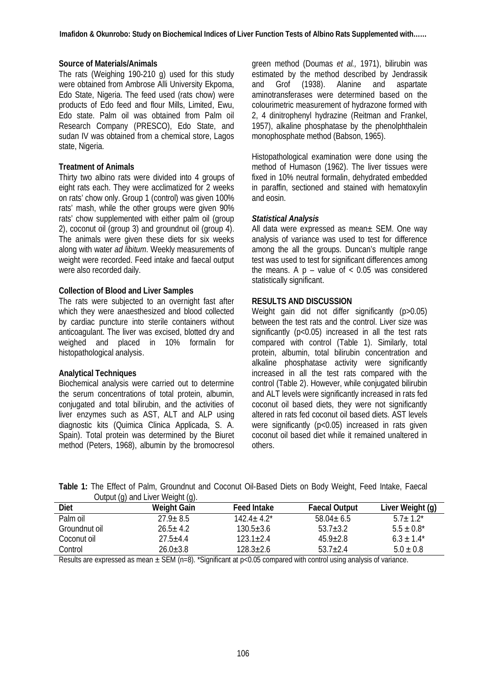#### **Source of Materials/Animals**

The rats (Weighing 190-210 g) used for this study were obtained from Ambrose Alli University Ekpoma, Edo State, Nigeria. The feed used (rats chow) were products of Edo feed and flour Mills, Limited, Ewu, Edo state. Palm oil was obtained from Palm oil Research Company (PRESCO), Edo State, and sudan IV was obtained from a chemical store, Lagos state, Nigeria.

#### **Treatment of Animals**

Thirty two albino rats were divided into 4 groups of eight rats each. They were acclimatized for 2 weeks on rats' chow only. Group 1 (control) was given 100% rats' mash, while the other groups were given 90% rats' chow supplemented with either palm oil (group 2), coconut oil (group 3) and groundnut oil (group 4). The animals were given these diets for six weeks along with water *ad libitum*. Weekly measurements of weight were recorded. Feed intake and faecal output were also recorded daily.

#### **Collection of Blood and Liver Samples**

The rats were subjected to an overnight fast after which they were anaesthesized and blood collected by cardiac puncture into sterile containers without anticoagulant. The liver was excised, blotted dry and weighed and placed in 10% formalin for histopathological analysis.

### **Analytical Techniques**

Biochemical analysis were carried out to determine the serum concentrations of total protein, albumin, conjugated and total bilirubin, and the activities of liver enzymes such as AST, ALT and ALP using diagnostic kits (Quimica Clinica Applicada, S. A. Spain). Total protein was determined by the Biuret method (Peters, 1968), albumin by the bromocresol

green method (Doumas *et al.,* 1971), bilirubin was estimated by the method described by Jendrassik and Grof (1938). Alanine and aspartate aminotransferases were determined based on the colourimetric measurement of hydrazone formed with 2, 4 dinitrophenyl hydrazine (Reitman and Frankel, 1957), alkaline phosphatase by the phenolphthalein monophosphate method (Babson, 1965).

Histopathological examination were done using the method of Humason (1962). The liver tissues were fixed in 10% neutral formalin, dehydrated embedded in paraffin, sectioned and stained with hematoxylin and eosin.

#### *Statistical Analysis*

All data were expressed as mean± SEM. One way analysis of variance was used to test for difference among the all the groups. Duncan's multiple range test was used to test for significant differences among the means. A  $p - value$  of  $< 0.05$  was considered statistically significant.

### **RESULTS AND DISCUSSION**

Weight gain did not differ significantly (p>0.05) between the test rats and the control. Liver size was significantly (p<0.05) increased in all the test rats compared with control (Table 1). Similarly, total protein, albumin, total bilirubin concentration and alkaline phosphatase activity were significantly increased in all the test rats compared with the control (Table 2). However, while conjugated bilirubin and ALT levels were significantly increased in rats fed coconut oil based diets, they were not significantly altered in rats fed coconut oil based diets. AST levels were significantly (p<0.05) increased in rats given coconut oil based diet while it remained unaltered in others.

**Table 1:** The Effect of Palm, Groundnut and Coconut Oil-Based Diets on Body Weight, Feed Intake, Faecal Output (g) and Liver Weight (g).

| $\cdots$<br><b>Diet</b> | $\cdots$<br><b>Weight Gain</b> | <b>Feed Intake</b> | <b>Faecal Output</b> | Liver Weight (g) |
|-------------------------|--------------------------------|--------------------|----------------------|------------------|
| Palm oil                | $27.9 \pm 8.5$                 | $142.4 + 4.2^*$    | $58.04 \pm 6.5$      | $5.7 + 1.2^*$    |
| Groundnut oil           | $26.5 + 4.2$                   | $130.5 + 3.6$      | $53.7 + 3.2$         | $5.5 \pm 0.8^*$  |
| Coconut oil             | $27.5 + 4.4$                   | 123.1+2.4          | $45.9 + 2.8$         | $6.3 \pm 1.4^*$  |
| Control                 | $26.0 + 3.8$                   | 128.3+2.6          | $537+24$             | $5.0 \pm 0.8$    |

Results are expressed as mean  $\pm$  SEM (n=8). \*Significant at p<0.05 compared with control using analysis of variance.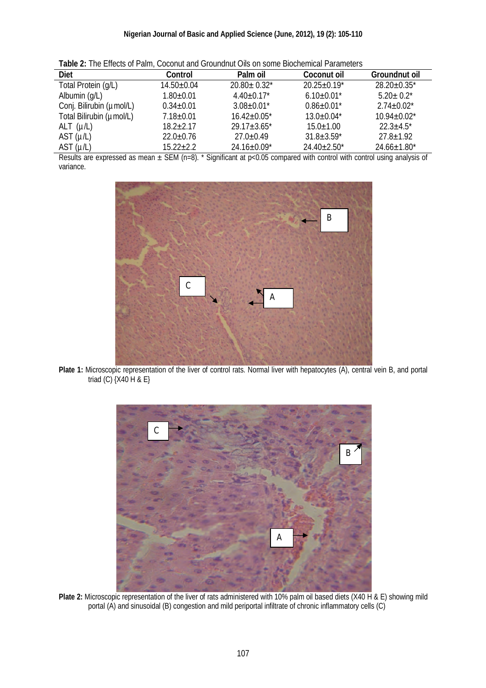| <b>TWAIS EI</b> THO ENOUG OF FRINT OUGHING CHO CHOING ON OUT OUTSTANDING FRINTING O |                  |                    |                    |                    |  |
|-------------------------------------------------------------------------------------|------------------|--------------------|--------------------|--------------------|--|
| <b>Diet</b>                                                                         | Control          | Palm oil           | <b>Coconut oil</b> | Groundnut oil      |  |
| Total Protein (g/L)                                                                 | $14.50 \pm 0.04$ | $20.80 \pm 0.32$ * | $20.25 \pm 0.19^*$ | $28.20 \pm 0.35$ * |  |
| Albumin (g/L)                                                                       | $1.80 + 0.01$    | $4.40 \pm 0.17$ *  | $6.10\pm0.01^*$    | $5.20 \pm 0.2^*$   |  |
| Conj. Bilirubin (umol/L)                                                            | $0.34 \pm 0.01$  | $3.08 \pm 0.01$ *  | $0.86 \pm 0.01^*$  | $2.74 \pm 0.02^*$  |  |
| Total Bilirubin (umol/L)                                                            | $7.18 \pm 0.01$  | $16.42 \pm 0.05^*$ | $13.0 \pm 0.04*$   | $10.94 \pm 0.02^*$ |  |
| ALT $(\mu/L)$                                                                       | $18.2 \pm 2.17$  | $29.17 \pm 3.65^*$ | $15.0 \pm 1.00$    | $22.3 \pm 4.5^*$   |  |
| AST $(\mu/L)$                                                                       | $22.0 \pm 0.76$  | $27.0 \pm 0.49$    | $31.8 \pm 3.59^*$  | $27.8 \pm 1.92$    |  |
| AST $(\mu/L)$                                                                       | $15.22 \pm 2.2$  | 24.16±0.09*        | $24.40 \pm 2.50^*$ | $24.66 \pm 1.80^*$ |  |

**Table 2:** The Effects of Palm, Coconut and Groundnut Oils on some Biochemical Parameters

Results are expressed as mean  $\pm$  SEM (n=8). \* Significant at p<0.05 compared with control with control using analysis of variance.



Plate 1: Microscopic representation of the liver of control rats. Normal liver with hepatocytes (A), central vein B, and portal triad (C) {X40 H & E}



**Plate 2:** Microscopic representation of the liver of rats administered with 10% palm oil based diets (X40 H & E) showing mild portal (A) and sinusoidal (B) congestion and mild periportal infiltrate of chronic inflammatory cells (C)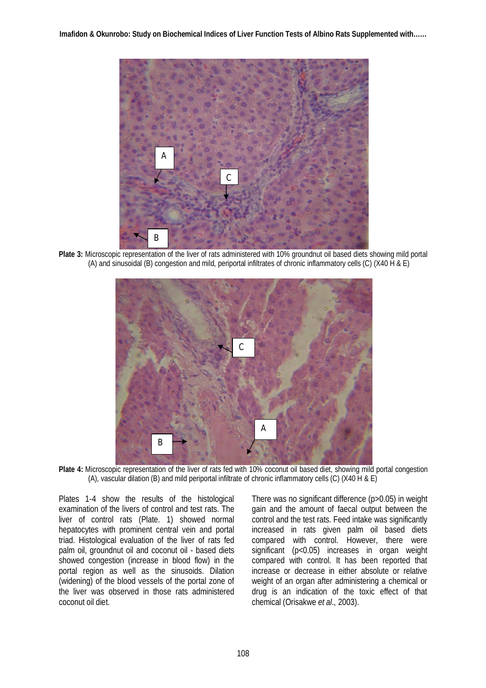

**Plate 3:** Microscopic representation of the liver of rats administered with 10% groundnut oil based diets showing mild portal (A) and sinusoidal (B) congestion and mild, periportal infiltrates of chronic inflammatory cells (C) (X40 H & E)



Plate 4: Microscopic representation of the liver of rats fed with 10% coconut oil based diet, showing mild portal congestion (A), vascular dilation (B) and mild periportal infiltrate of chronic inflammatory cells (C) (X40 H & E)

Plates 1-4 show the results of the histological examination of the livers of control and test rats. The liver of control rats (Plate. 1) showed normal hepatocytes with prominent central vein and portal triad. Histological evaluation of the liver of rats fed palm oil, groundnut oil and coconut oil - based diets showed congestion (increase in blood flow) in the portal region as well as the sinusoids. Dilation (widening) of the blood vessels of the portal zone of the liver was observed in those rats administered coconut oil diet.

There was no significant difference (p>0.05) in weight gain and the amount of faecal output between the control and the test rats. Feed intake was significantly increased in rats given palm oil based diets compared with control. However, there were significant (p<0.05) increases in organ weight compared with control. It has been reported that increase or decrease in either absolute or relative weight of an organ after administering a chemical or drug is an indication of the toxic effect of that chemical (Orisakwe *et al.,* 2003).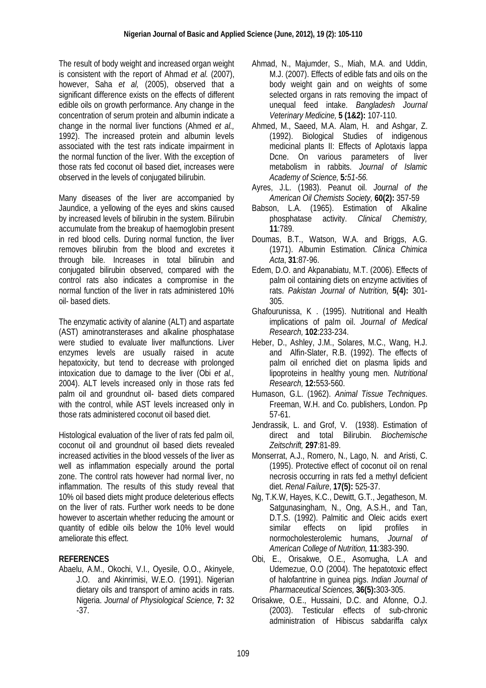The result of body weight and increased organ weight is consistent with the report of Ahmad *et al.* (2007), however, Saha *et al,* (2005), observed that a significant difference exists on the effects of different edible oils on growth performance. Any change in the concentration of serum protein and albumin indicate a change in the normal liver functions (Ahmed *et al.,* 1992). The increased protein and albumin levels associated with the test rats indicate impairment in the normal function of the liver. With the exception of those rats fed coconut oil based diet, increases were observed in the levels of conjugated bilirubin.

Many diseases of the liver are accompanied by Jaundice, a yellowing of the eyes and skins caused by increased levels of bilirubin in the system. Bilirubin accumulate from the breakup of haemoglobin present in red blood cells. During normal function, the liver removes bilirubin from the blood and excretes it through bile. Increases in total bilirubin and conjugated bilirubin observed, compared with the control rats also indicates a compromise in the normal function of the liver in rats administered 10% oil- based diets.

The enzymatic activity of alanine (ALT) and aspartate (AST) aminotransterases and alkaline phosphatase were studied to evaluate liver malfunctions. Liver enzymes levels are usually raised in acute hepatoxicity, but tend to decrease with prolonged intoxication due to damage to the liver (Obi *et al.,* 2004). ALT levels increased only in those rats fed palm oil and groundnut oil- based diets compared with the control, while AST levels increased only in those rats administered coconut oil based diet.

Histological evaluation of the liver of rats fed palm oil, coconut oil and groundnut oil based diets revealed increased activities in the blood vessels of the liver as well as inflammation especially around the portal zone. The control rats however had normal liver, no inflammation. The results of this study reveal that 10% oil based diets might produce deleterious effects on the liver of rats. Further work needs to be done however to ascertain whether reducing the amount or quantity of edible oils below the 10% level would ameliorate this effect.

# **REFERENCES**

Abaelu, A.M., Okochi, V.I., Oyesile, O.O., Akinyele, J.O. and Akinrimisi, W.E.O. (1991). Nigerian dietary oils and transport of amino acids in rats. Nigeria. *Journal of Physiological Science,* **7:** 32 -37.

- Ahmad, N., Majumder, S., Miah, M.A. and Uddin, M.J. (2007). Effects of edible fats and oils on the body weight gain and on weights of some selected organs in rats removing the impact of unequal feed intake. *Bangladesh Journal Veterinary Medicine,* **5 (1&2):** 107-110.
- Ahmed, M., Saeed, M.A. Alam, H. and Ashgar, Z. (1992). Biological Studies of indigenous medicinal plants II: Effects of Aplotaxis lappa Dcne. On various parameters of liver metabolism in rabbits. *Journal of Islamic Academy of Science,* **5***:51-56.*
- Ayres, J.L. (1983). Peanut oil. *Journal of the American Oil Chemists Society,* **60(2):** 357-59
- Babson, L.A. (1965). Estimation of Alkaline phosphatase activity. *Clinical Chemistry,* **11**:789.
- Doumas, B.T., Watson, W.A. and Briggs, A.G. (1971). Albumin Estimation*. Clinica Chimica Acta*, **31**:87-96.
- Edem, D.O. and Akpanabiatu, M.T. (2006). Effects of palm oil containing diets on enzyme activities of rats. *Pakistan Journal of Nutrition,* **5(4):** 301- 305.
- Ghafourunissa, K . (1995). Nutritional and Health implications of palm oil. *Journal of Medical Research,* **102**:233-234.
- Heber, D., Ashley, J.M., Solares, M.C., Wang, H.J. and Alfin-Slater, R.B. (1992). The effects of palm oil enriched diet on plasma lipids and lipoproteins in healthy young men. *Nutritional Research,* **12:**553-560.
- Humason, G.L. (1962). *Animal Tissue Techniques*. Freeman, W.H. and Co. publishers, London. Pp 57-61.
- Jendrassik, L. and Grof, V. (1938). Estimation of direct and total Bilirubin. *Biochemische Zeitschrift,* **297**:81-89.
- Monserrat, A.J., Romero, N., Lago, N. and Aristi, C. (1995). Protective effect of coconut oil on renal necrosis occurring in rats fed a methyl deficient diet. *Renal Failure*, **17(5):** 525-37.
- Ng, T.K.W, Hayes, K.C., Dewitt, G.T., Jegatheson, M. Satgunasingham, N., Ong, A.S.H., and Tan, D.T.S. (1992). Palmitic and Oleic acids exert similar effects on lipid profiles in normocholesterolemic humans, *Journal of American College of Nutrition,* **11**:383-390.
- Obi, E., Orisakwe, O.E., Asomugha, L.A and Udemezue, O.O (2004). The hepatotoxic effect of halofantrine in guinea pigs. *Indian Journal of Pharmaceutical Sciences,* **36(5):**303-305.
- Orisakwe, O.E., Hussaini, D.C. and Afonne, O.J. (2003). Testicular effects of sub-chronic administration of Hibiscus sabdariffa calyx